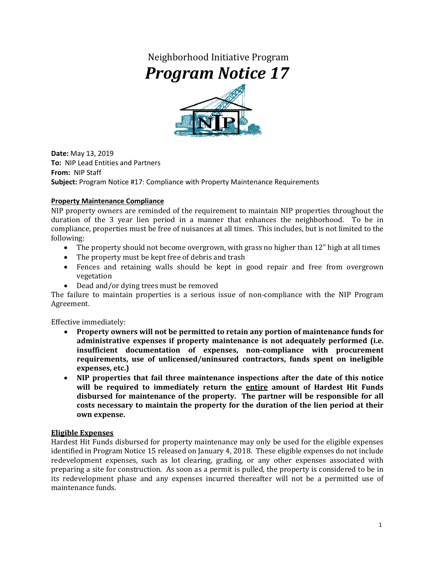# Neighborhood Initiative Program *Program Notice 17*



**Date:** May 13, 2019 **To:** NIP Lead Entities and Partners **From:** NIP Staff **Subject:** Program Notice #17: Compliance with Property Maintenance Requirements

### **Property Maintenance Compliance**

NIP property owners are reminded of the requirement to maintain NIP properties throughout the duration of the 3 year lien period in a manner that enhances the neighborhood. To be in compliance, properties must be free of nuisances at all times. This includes, but is not limited to the following:

- The property should not become overgrown, with grass no higher than 12" high at all times
- The property must be kept free of debris and trash
- Fences and retaining walls should be kept in good repair and free from overgrown vegetation
- Dead and/or dying trees must be removed

The failure to maintain properties is a serious issue of non-compliance with the NIP Program Agreement.

Effective immediately:

- **Property owners will not be permitted to retain any portion of maintenance funds for administrative expenses if property maintenance is not adequately performed (i.e. insufficient documentation of expenses, non-compliance with procurement requirements, use of unlicensed/uninsured contractors, funds spent on ineligible expenses, etc.)**
- **NIP properties that fail three maintenance inspections after the date of this notice will be required to immediately return the entire amount of Hardest Hit Funds disbursed for maintenance of the property. The partner will be responsible for all costs necessary to maintain the property for the duration of the lien period at their own expense.**

#### **Eligible Expenses**

Hardest Hit Funds disbursed for property maintenance may only be used for the eligible expenses identified in Program Notice 15 released on January 4, 2018. These eligible expenses do not include redevelopment expenses, such as lot clearing, grading, or any other expenses associated with preparing a site for construction. As soon as a permit is pulled, the property is considered to be in its redevelopment phase and any expenses incurred thereafter will not be a permitted use of maintenance funds.